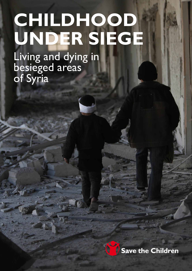# **CHILDHOOD UNDER SIEGE**

Living and dying in besieged areas of Syria

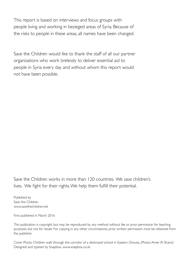This report is based on interviews and focus groups with people living and working in besieged areas of Syria. Because of the risks to people in these areas, all names have been changed.

Save the Children would like to thank the staff of all our partner organisations who work tirelessly to deliver essential aid to people in Syria every day and without whom this report would not have been possible.

Save the Children works in more than 120 countries. We save children's lives. We fight for their rights. We help them fulfill their potential.

Published by Save the Children [www.savethechildren.net](http://www.savethechildren.net)

First published in March 2016

This publication is copyright, but may be reproduced by any method without fee or prior permission for teaching purposes, but not for resale. For copying in any other circumstances, prior written permission must be obtained from the publisher.

Cover Photo: Children walk through the corridor of a destroyed school in Eastern Ghouta. (Photo: Amer Al Shami) Designed and typeset by Soapbox, [www.soapbox.co.uk](http://www.soapbox.co.uk)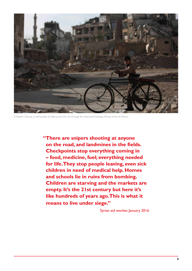

In Eastern Ghouta, a child pushes his bike across the city through the destroyed buildings. (Photo: Amer Al Shami)

 **"There are snipers shooting at anyone on the road, and landmines in the fields. Checkpoints stop everything coming in – food, medicine, fuel; everything needed for life. They stop people leaving, even sick children in need of medical help. Homes and schools lie in ruins from bombing. Children are starving and the markets are empty. It's the 21st century but here it's like hundreds of years ago. This is what it means to live under siege."**

Syrian aid worker, January 2016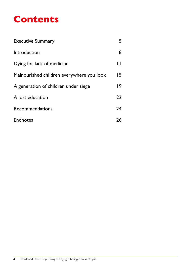# **Contents**

| <b>Executive Summary</b>                  |              |
|-------------------------------------------|--------------|
| Introduction                              | 8            |
| Dying for lack of medicine                | $\mathsf{L}$ |
| Malnourished children everywhere you look | 15           |
| A generation of children under siege      | 19           |
| A lost education                          | 22           |
| Recommendations                           | 24           |
| <b>Endnotes</b>                           | 26           |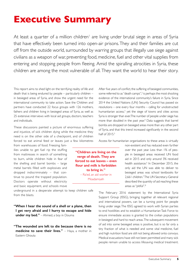# <span id="page-4-0"></span>**Executive Summary**

At least a quarter of a million children' are living under brutal siege in areas of Syria that have effectively been turned into open-air prisons. They and their families are cut off from the outside world, surrounded by warring groups that illegally use siege against civilians as a weapon of war, preventing food, medicine, fuel and other vital supplies from entering and stopping people from fleeing. Amid the spiralling atrocities in Syria, these children are among the most vulnerable of all. They want the world to hear their story.

> **"Children are living on the verge of death. They are forced to eat leaves – even flour and milk is forbidden to bring in."**  – Ra'ed, an aid worker in Moadamiyeh

This report aims to shed light on the terrifying reality of life and death that is being endured by people – particularly children – in besieged areas of Syria, and show the urgent need for the international community to take action. Save the Children and partners have conducted 22 focus groups with 126 mothers, fathers and children living in besieged areas of Syria, as well as 25 extensive interviews with local aid groups, doctors, teachers and individuals.

These discussions painted a picture of enormous suffering and injustice, of sick children dying while the medicine they need is on the other side of a checkpoint, and of children forced to eat animal feed or leaves just a few kilometres

from warehouses of food. Freezing families unable to get fuel rip the stuffing from mattresses in search of something to burn, while children hide in fear of the shelling and barrel bombs – large metal barrels filled with explosives and dropped indiscriminately – that continue to pound the trapped population. Doctors operate without electricity and basic equipment, and schools move

underground in a desperate attempt to keep children safe from the blasts.

**"When I hear the sound of a shell or a plane, then I get very afraid and I hurry to escape and hide**  under my bed." - Ahmed, a boy in Douma

**"The wounded are left to die because there is no medicine to save their lives."** – Haya, a mother in Eastern Ghouta

After five years of conflict, the suffering of besieged communities, some referred to as "death camps",<sup>2</sup> is perhaps the most shocking evidence of the international community's failure in Syria. Since 2014 the United Nations (UN) Security Council has passed six resolutions – one every four months – calling for unobstructed humanitarian access,<sup>3</sup> yet the siege of towns and cities across Syria is stronger than ever. The number of people under siege has more than doubled in the past year.4 Data suggests that barrel bombs are dropped on besieged areas more than any other part of Syria, and that this trend increased significantly in the second half of 2015.<sup>5</sup>

Access for humanitarian organisations to these areas is virtually

non-existent and has reduced even further over the past year. Less than 1% of people in besieged areas received UN food aid in 2015 and only around 3% received health assistance.<sup>6</sup> In December 2015, the only aid the UN was able to deliver to besieged areas was school textbooks for 2,661 children.<sup>7</sup> The UN Secretary-General described the quantity of aid reaching these areas as "pitiful".8

The February 2016 statement by the International Syria Support Group (ISSG), bringing together all relevant regional and international powers, can be a turning point for people living under siege. The ISSG agreed to work with Syrian parties to end hostilities and to establish a Humanitarian Task Force to ensure immediate access is granted to the civilian populations in besieged and hard to reach areas. The subsequent movement of aid into some besieged areas is positive, but is so far only a tiny fraction of what is needed and some vital medicine, fuel and high nutrition food are still not being allowed onto convoys. Medical evacuations have still not been permitted and many sick people remain unable to access lifesaving medical treatment.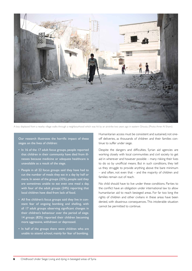

A boy displaced from a nearby village walks through a neighbourhood which was hit by an airstrike two years ago in eastern Ghouta. (Photo: Amer Al Shami)

Our research illustrates the horrific impact of these sieges on the lives of children:

- In 16 of the 17 adult focus groups, people reported that children in their community have died from illnesses because medicine or adequate healthcare is unavailable as a result of the siege.
- People in all 22 focus groups said they have had to cut the number of meals they eat in a day by half or more. In seven of the groups (32%), people said they are sometimes unable to eat even one meal a day, with four of the adult groups (24%) reporting that local children have died from lack of food.
- All five children's focus groups said they live in constant fear of ongoing bombing and shelling, with all 17 adult groups observing significant changes in their children's behaviour over the period of siege. 14 groups (82%) reported their children becoming more aggressive, withdrawn or depressed.
- In half of the groups there were children who are unable to attend school, mainly for fear of bombing.

Humanitarian access must be consistent and sustained, not oneoff deliveries, as thousands of children and their families continue to suffer under siege.

Despite the dangers and difficulties, Syrian aid agencies are working closely with local communities and civil society to get aid in wherever and however possible – many risking their lives to do so by unofficial means. But in such conditions, they tell us they struggle to provide anything above the bare minimum – and often, not even that – and the majority of children and families remain out of reach.

No child should have to live under these conditions. Parties to the conflict have an obligation under international law to allow humanitarian aid to reach besieged areas. For far too long the rights of children and other civilians in these areas have been denied, with disastrous consequences. This intolerable situation cannot be permitted to continue.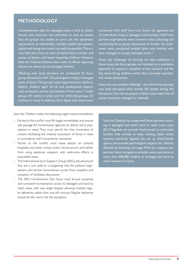#### **METHODOLOGY**

Comprehensive data for besieged areas is hard to obtain. Access and resources are restricted to such an extent that aid groups are unable to carry out the systematic assessments of malnutrition, markets, health and psychological well-being that would normally be possible. There is very little hard data on rates of malnutrition, number and causes of deaths, and issues impacting children. However, Save the Children believes that a lack of official reporting should not silence Syria's besieged children.

Working with local partners, we conducted 22 focus group discussions with 126 participants living in besieged areas of Syria.<sup>9</sup> The groups were separated into mothers, fathers, children aged 10–16, and professional experts such as doctors, nurses and teachers. There were 17 adult groups (91 adults in total) and five child-only groups (35 children in total). In addition, 25 in-depth interviews were conducted with staff from nine Syrian aid agencies and 10 individuals living in besieged communities. Staff from partner organisations were trained in data collecting and conducting focus group discussions. A further ten interviews were conducted outside Syria with families who have managed to escape besieged areas.<sup>10</sup>

Given the challenges of carrying out data collection in these areas, the focus groups are intended as a qualitative approach to capture a snapshot of the situation and the key issues facing children, rather than a broader quantitative needs assessment.

Insecurity was another challenge – one of the focus groups was itself disrupted when bombs fell nearby during the discussion. The risks to people in these areas mean that all names have been changed or withheld.

Save the Children makes the following urgent recommendations:

- Parties to the conflict must lift sieges immediately and ensure safe passage for humanitarian agencies to deliver aid to populations in need. They must permit the free movement of civilians, facilitating the medical evacuation of those in need in accordance with humanitarian standards.
- Parties to the conflict must cease attacks on schools, hospitals, and other critical civilian infrastructure, and refrain from using explosive weapons with wide-area effects in populated areas.
- The International Syria Support Group (ISSG) should ensure that aid is not used as a bargaining chip for political negotiations, and de-link humanitarian access from ceasefire and cessation of hostilities discussions.
- The ISSG Humanitarian Task Force must ensure sustained and consistent humanitarian access to besieged and hard to reach areas, with one single request allowing multiple regular deliveries, rather than one-off convoys. Regular deliveries should be the norm not the exception.

Save the Children has supported Syrian partners working in besieged and other hard to reach areas since 2013. Together, we provide food parcels to vulnerable families, help schools to keep running, repair water systems, distribute hygiene kits, set up child-friendly spaces and provide psychological support for children affected by bombing and siege. With our support, our partners have managed to provide some assistance to more than 500,000 children in besieged and hard to reach locations in Syria.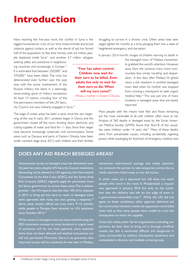# <span id="page-7-0"></span>**Introduction**

Now reaching the five-year mark, the conflict in Syria is the biggest humanitarian crisis of our time. Indiscriminate and brutal violence against civilians, as well as the denial of aid, has forced half of the population to flee their homes, with 6.6 million people displaced inside Syria<sup>11</sup> and another 4.7 million refugees

seeking safety and assistance in neighbouring countries and increasingly in Europe.<sup>12</sup> It is estimated that between 250,000<sup>13</sup> and 470,000<sup>14</sup> have been killed. The crisis has deteriorated even further over the past year, with the active involvement of the Russian military the latest in a seemingly never-ending spiral of military escalations. At least 14 nations, including four of the five permanent members of the UN Secu-

rity Council, are now militarily engaged in Syria.15

The siege of civilian areas has been a tactic since the very beginning of the war. In early 2011, protests began in Dara'a and the government closed off the town, shutting down electricity and cutting supplies of water and food for 11 days. Since then sieges have become increasingly systematic and commonplace. Some areas, such as Darayya and parts of Eastern Ghouta, have been under constant siege since 2012, with children and their families struggling to survive in a chronic crisis. Other areas have seen sieges tighten for months at a time, plunging them into a state of heightened emergency and starvation.

In January 2016 horrific images of children starving to death in

**"Fear has taken control. Children now wait for their turn to be killed. Even adults live only to wait for their turn to die. When will my turn come?"** 

– Rihab, a mother in Eastern Ghouta

the besieged town of Madaya momentarily grabbed the world's attention. However, away from the cameras many more communities face similar hardship and desperation. A few days after Madaya hit global news, a sick newborn in another besieged town died when his mother was stopped from crossing a checkpoint to seek urgent medical help.<sup>16</sup> This was just one of many incidents in besieged areas that are barely reported.

Most people with the means have fled and those remaining are the most vulnerable of all, with children often most at risk. Analysis of 560 deaths in besieged areas by the Syrian American Medical Society (SAMS) found that 46.61% of the casualties were children under 14 years old.<sup>17</sup> Many of these deaths were from preventable causes, including accidentally ingesting poison while scavenging for food; lack of emergency medical care;

#### **DOES ANY AID REACH BESIEGED AREAS?**

Humanitarian access to besieged areas has diminished over the past two years, despite UN Security Council resolutions demanding aid be allowed in. UN agencies, the International Committee of the Red Cross (ICRC), and the Syrian Arab Red Crescent (SARC) regularly apply for permission from the Syrian government to access these areas. This is seldom granted – the UN reports that less than 10% of its requests in 2015 to bring aid into hard to reach or besieged areas were approved, with many not even getting a response.<sup>18</sup> Some areas receive official aid once every 9–12 months, while people in Darayya have received no UN assistance since October 2012.<sup>19</sup>

While access to besieged areas has improved following the ISSG statement, convoys to many locations in urgent need of assistance still do not have approval, some essential items have not been allowed and medical evacuations are still not permitted. Moreover, there is no guarantee that improved access will be sustained. As was seen in Madaya, sometimes international outrage and media attention can pressure the parties to take temporary action; but as media attention faded away, so too did access.

In other cases aid is approved but still does not reach people who need it the most. In Moadamiyeh a request was approved in January 2016 but only on the condition that the delivery was left on the edge of town in a government-controlled area.<sup>20</sup> While the UN did not agree to these conditions, other agencies delivered aid, but community members inside the opposition-controlled town told us that many people were unable to cross the checkpoints to reach the supplies.

Given this reality, other Syrian organisations, including our partners, do their best to bring aid in through unofficial routes, but this is extremely difficult and dangerous in areas surrounded by military checkpoints, landmines and unexploded ordnance, and multiple armed groups.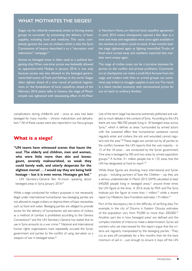#### **WHAT MOTIVATES THE SIEGES?**

Sieges can be militarily motivated, aimed at forcing enemy groups to surrender by preventing the delivery of basic supplies, including food and medicine. This tactic completely ignores the cost on civilians, which is why the Syria Commission of Inquiry described it as a "starvation until submission" campaign.<sup>21</sup>

Access to besieged areas is often used as a political bargaining chip. When one-time access was belatedly allowed to opposition-held Madaya in January 2016, it was only because access was also allowed to the besieged government-held towns of Foah and Kefraya in the north. Sieges often tighten ahead of a new round of political negotiations or the breakdown of local ceasefires: ahead of the February 2016 peace talks in Geneva, the siege of Moadamiyeh was tightened with devastating effect. In Al-Waer in Northern Homs, an informal local ceasefire agreement in early 2015 meant checkpoints opened a few days at a time and meat and vegetables were once again available in the markets as traders could re-stock. A few months later the siege tightened again as fighting intensified. Trucks of food were turned away and residents reported that markets were empty again.

The siege of civilian areas can be a lucrative business for parties to the conflict and private profiteers. Commanders at checkpoints can make a small illicit fortune from the siege, and traders with links to armed groups can sometimes pay bribes to smuggle supplies in and out. The result is a black market economy with astronomical prices far out of reach to ordinary families.

complications during childbirth; and – once an area had been besieged for many months – chronic malnutrition and dehydration.22 All of these causes were also reported in our focus groups.

#### **What is a siege?**

**"UN teams have witnessed scenes that haunt the soul. The elderly and children, men and women, who were little more than skin and bones: gaunt, severely malnourished, so weak they could barely walk, and utterly desperate for the slightest morsel … I would say they are being held hostage – but it is even worse. Hostages get fed."** – UN Secretary-General Ban Ki-moon speaking about besieged areas in Syria, January 2016<sup>23</sup>

While a siege conducted for military purposes is not necessarily illegal under international humanitarian law, besieging parties are not allowed to target civilians or deprive them of basic necessities, such as food and water. Besieging parties are obliged to provide access for the delivery of humanitarian aid; starvation of civilians as a method of combat is prohibited according to the Geneva Conventions<sup>24</sup> and the UN Secretary-General has stated that its use in Syria amounts to a war crime.25 National and international human rights organisations have repeatedly accused the Syrian government and parties to the conflict of using starvation as a weapon of war in besieged areas.<sup>26</sup>

Use of the term 'siege' has become extremely politicised and subject to much debate in the context of Syria. According to the UN, there are now 486,700 people living in 18 besieged areas across Syria,<sup>27</sup> which it defines as areas "surrounded by armed actors with the sustained effect that humanitarian assistance cannot regularly enter and civilians, the sick and wounded, cannot regularly exit the area."<sup>28</sup> These sieges are carried out by all parties to the conflict, however the UN reports that the vast majority – in 15 of the 18 areas – are conducted by the Syrian government. One area is besieged by ISIS and two areas by armed opposition groups.29 A further 4.1 million people live in 135 areas that the UN has designated as 'hard to reach'.30

While these figures are shocking, many international and Syrian groups – including partners of Save the Children – say they are a serious underestimate. In March 2015 SAMS calculated at least  $640,000$  people living in besieged areas, $31$  around three times the UN figure at the time. A 2016 study by PAX and The Syria Institute put the figure at more than  $1$  million,<sup>32</sup> while a recent report by Médecins Sans Frontières estimates 1.9 million.<sup>33</sup>

Part of the discrepancy lies in the difficulty of verifying data. For example, in the city of Douma in Eastern Ghouta, estimates of the population vary from 95,000 to more than 200,000.<sup>34</sup> Another part lies in how 'besieged areas' are defined and the complex checklist of criteria to make a determination. Syrian aid workers who we interviewed for this report argue that the criteria are regularly manipulated by the besieging parties. "They cut an area off completely for a few months, then let the bare minimum of aid in  $-$  just enough to ensure it stays off the UN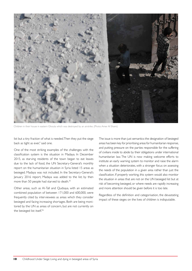

Children in their house in eastern Ghouta which was destroyed by an airstrike. (Photo: Amer Al Shami)

list but a tiny fraction of what is needed. Then they put the siege back as tight as ever," said one.

One of the most striking examples of the challenges with the classification system is the situation in Madaya. In December 2015, as starving residents of the town began to eat leaves due to the lack of food, the UN Secretary-General's monthly report on the humanitarian situation in Syria listed 15 areas as besieged. Madaya was not included. In the Secretary-General's January 2016 report, Madaya was added to the list; by then more than 50 people had starved to death.<sup>35</sup>

Other areas, such as Al-Tall and Qudsaya, with an estimated combined population of between 171,000 and 600,000, were frequently cited by interviewees as areas which they consider besieged and facing increasing shortages. Both are being monitored by the UN as areas of concern, but are not currently on the besieged list itself.<sup>36</sup>

The issue is more than just semantics: the designation of besieged areas has been key for prioritising areas for humanitarian response, and putting pressure on the parties responsible for the suffering of civilians inside to abide by their obligations under international humanitarian law. The UN is now making welcome efforts to institute an early warning system to monitor and raise the alarm when a situation deteriorates, with a stronger focus on assessing the needs of the population in a given area rather than just the classification. If properly working, this system would also monitor the situation in areas that are not on the UN besieged list but at risk of becoming besieged, or where needs are rapidly increasing and more attention should be given before it is too late.

Regardless of the definition and categorisation, the devastating impact of these sieges on the lives of children is indisputable.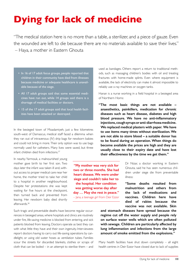# <span id="page-10-0"></span>**Dying for lack of medicine**

"The medical station here is no more than a table, a sterilizer, and a piece of gauze. Even the wounded are left to die because there are no materials available to save their lives." – Haya, a mother in Eastern Ghouta

> **"My mother was very sick for two or three months. She had heart disease. We were under siege and couldn't take her to the hospital. Her condition was getting worse day after day … May she rest in peace."** – Jana, a teenage girl from Deir Ezzor

- In 16 of 17 adult focus groups, people reported that children in their community have died from illnesses because medicine or adequate healthcare is unavailable because of the siege.
- All 17 adult groups said that some essential medicines have run out, while 14 groups said there is a shortage of medical facilities or doctors.
- 15 of the 17 adult groups said that local health facilities have been attacked or destroyed.

In the besieged town of Moadamiyeh, just a few kilometres south-west of Damascus, medical staff faced a dilemma when they ran out of intravenous (IV) drip bags for newborn babies and could not bring in more. Their only option was to use bags normally used for catheters. Many lives were saved, but three infant children died from infections.37

In nearby Yarmouk, a malnourished young mother gave birth to her first son. Two days later the infant was taken ill and, without access to proper medical care near her home, the mother tried to take her child to a hospital in another neighbourhood. Despite her protestations she was kept waiting for five hours at the checkpoint, then turned back and prevented from leaving. Her newborn baby died shortly afterwards.38

Such tragic and preventable deaths have become regular occurrences in besieged areas, where hospitals and clinics are routinely under fire, life-saving medicine is blocked from entering, and sick patients blocked from leaving. Doctors operate as best they can with what little they have and their own ingenuity. Interviewees report doctors having to carry out life-saving operations by candlelight, or using old water hoses as ventilation tubes. Families scour the streets for discarded blankets, clothes or scraps of cloth that can be boiled – in an attempt to sterilise them – and used as bandages. Others report a return to traditional methods, such as massaging children's bodies with oil and treating fractures with home-made splints. Even where equipment is available, the lack of electricity can make it almost impossible to reliably use x-ray machines or oxygen tanks.

Hanan is a nurse working in a field hospital in a besieged area of Northern Homs:

**"The most basic things are not available – anaesthetics, painkillers, medication for chronic diseases such as heart disease, diabetes and high blood pressure. We have no anti-inflammatory injections, cough syrups or anti-diarrhoea medicine. We replaced medical plasters with paper. We have to use items many times without sterilization. We are not able to store blood – a suitable donor has to be found during an operation. When things do become available the prices are high and they are usually close to their expiry date and have lost their effectiveness by the time we get them."**

> Dr Nizar, a doctor working in Eastern Ghouta, said he has seen numerous children under siege die from preventable illness:

**"Some deaths resulted from malnutrition and others from the lack of medications and vaccines. Children here have died of rabies because the vaccine was not available. Skin** 

**and stomach diseases have spread because the regime cut off the water supply and people rely on surface water wells which are often polluted with sewage. Children are particularly affected by lung inflammation and infections from the large amount of smoke emitted from the explosions."**

Many health facilities have shut down completely – all eight health centres in Deir Ezzor have closed due to lack of supplies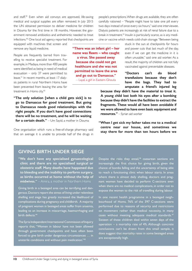and staff.<sup>39</sup> Even when aid convoys are approved, life-saving medical and surgical supplies are often removed. In July 2015 the UN obtained permission to deliver medicine for children in Douma for the first time in 18 months. However, the government removed antibiotics and anthelmintic needed to treat infections.40 One local aid agency reported that checkpoints are people's prescriptions. When drugs are available, they are often carefully rationed – "People might have to take one pill every two days instead of once every six hours," said one interviewee. Dialysis patients are increasingly at risk of renal failure due to a break in treatment.<sup>43</sup> Insulin is particularly scarce, as is any medicine or vaccine which needs cold-chain storage. "Between being

equipped with machines that screen and remove any liquid medicine.

People are frequently barred from trayelling to receive specialist treatment. For example, in Madaya, more than 400 people were identified as being in need of medical evacuation – only 37 were permitted to leave.41 In recent months, at least 17 dialysis patients in rural Northern Homs have been prevented from leaving the area for treatment in Homs city.<sup>42</sup>

**"The only solution [when a child gets sick] is to go to Damascus for good treatment. But going to Damascus needs good relationships with the right people. If you don't have good connections there will be no treatment, and he will be waiting for a certain death."** – Um Sayid, a mother in Douma

One organisation which runs a free-of-charge pharmacy said that on average it is unable to provide half of the drugs in

**"There was an infant girl – her name was Reem – who caught a virus. She passed away because she could not get healthcare and she was not permitted to leave the area and go out to Damascus."** – Layal, a girl in Eastern Ghouta

stuck in the sun at checkpoints for hours and power cuts that last much of the day, even if we can get the medicine in it is often unusable," said one aid worker. As a result, the majority of children are not fully vaccinated against preventable diseases.

**"Doctors can't do blood transfusions because they don't have the bags. They had to amputate a friend's injured leg** 

**because they didn't have the material to treat it. A young child lost both his eyes after a bombing because they didn't have the facilities to extract the fragments. These would all have been avoidable if we were allowed to have even basic equipment and resources."** – Syrian aid worker

**"When I get sick my father takes me to a medical centre near our house, and sometimes we stay there for more than ten hours before we** 

#### **GIVING BIRTH UNDER SIEGE**

**"We don't have any specialised gynaecological clinic and there are no specialised surgical or obstetric staff. Many deaths have happened due to bleeding and the inability to perform surgery, as births occurred at home without the help of midwives."** – Amira, a mother in Northern Homs

Giving birth in a besieged area can be terrifying and dangerous. Doctors report the stress of living under relentless shelling and siege has greatly increased the likelihood of complications during pregnancy and childbirth. A majority of pregnant women in besieged areas suffer from anaemia, leading to an increase in miscarriage, haemorrhaging and birth defects.<sup>44</sup>

The Syria Independent International Commission of Inquiry reports that, "Women in labour have not been allowed through government checkpoints and have often been forced to give birth under dangerous circumstances … in unsterile conditions and without pain medication."<sup>45</sup>

Despite the risks they entail, $46$  caesarean sections are increasingly the first choice for giving birth, given the chance of bombs falling and the uncertainty of being able to reach a functioning clinic when labour starts. In areas where there is almost daily shelling, doctors and pregnant women have decided to perform C-sections even when there are no medical complications, in order not to expose the women to the risk of travelling during labour.

In one recent health programme in a besieged neighbourhood of Homs, 76% of the 397 C-sections were performed due to reasons of security and restrictions on movement rather than medical necessity, in many cases without meeting adequate medical standards.<sup>47</sup> Sixteen of these children died within seven days of the operation – a mortality rate of 4%. Although concrete conclusions can't be drawn from this small sample, it does suggest that mortality rates in some besieged areas are exceptionally high.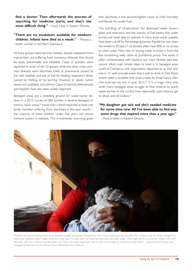**find a doctor. Then afterwards the process of searching for medicine starts, and that's the most difficult thing."** – Yusuf, a boy in Eastern Ghouta

#### **"There are no incubators available for newborn children. Infants have died as a result."** – Aboud, a health worker in northern Damascus

All focus groups reported that children, already weakened from malnutrition, are suffering from numerous illnesses that should be easily preventable and treatable. Cases of jaundice were reported in seven of the 22 groups, while the other most common illnesses were diarrhoea, colds or pneumonia caused by the cold weather and lack of fuel for heating, respiratory illness caused by shelling or by burning firewood or plastic (when wood isn't available), and asthma. Cases of typhoid, leishmaniasis and hepatitis have also been widely reported.

Besieged areas are a breeding ground for water-borne disease. In a 2015 survey of 584 families in several besieged or hard to reach areas,<sup>48</sup> more than a third reported at least one family member suffering from diarrhoea in the past month – the majority of them children under five years old whose immune system is weakest. This is extremely worrying, given that diarrhoea is the second-highest cause of child mortality worldwide for under-fives.

The bombing of infrastructure has destroyed water towers, pipes and reservoirs, and the scarcity of fuel means that water pumps are rarely able to operate. In many areas water supplies have been cut off by the besieging parties. Rainfall has also been the lowest in 50 years,<sup>49</sup> so families often have little or no access to clean water. Many rely on buying water trucked in from the few functioning wells, often at prohibitive prices. The water is often contaminated with bacteria, but most families said they cannot afford even simple steps to treat it. In besieged areas south of Damascus, one organisation reported to us that only one in 15 wells provide water that is safe to drink. In Deir Ezzor, where water is available only once a week for three hours, chlorine reserves ran out in June 2015.<sup>50</sup> It is a tragic irony that, while many besieged areas struggle to find chlorine to purify water, parties to the conflict have reportedly used chlorine gas to attack and kill civilians.<sup>51</sup>

**"My daughter got sick and she's needed medicine for some time now. All I've been able to find was some drugs that expired more than a year ago."**  – Ala'a, a father in Eastern Ghouta



"People have started eating leaves from the trees, people are dying of hunger, they don't have anything to eat and drink. The children have physically changed. My nieces and nephews haven't eaten meat for a year now. My sister can't run away because they are under siege – they might kill her and kill her children. You can't take risks with your children and take them out. If they are under siege they have to stay until somebody comes and helps them." – Sawsan, from Ghouta, who managed to flee out of Syria. (Photo: Nour Wahid/Save the Children)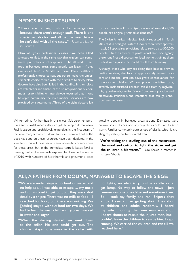#### **MEDICS IN SHORT SUPPLY**

**"There are no night shifts for emergencies because there aren't enough staff. There is one specialised doctor and all people need him – he can't deal with all the cases."** – Usama, a father in Douma

Many of Syria's professional classes have been killed, arrested or fled. In the same way that traders can sometimes pay bribes at checkpoints to be allowed to sell food in besieged areas, some people can leave – if they can afford 'fees' of \$1,500 or more. Many healthcare professionals choose to stay, but others make the understandable choice to flee with their families to safety. Many doctors have also been killed in the conflict. In their place are volunteers and amateurs thrust into positions of enormous responsibility. An interviewee reported that in one besieged community the main medical services are now provided by a veterinarian. Three of the eight doctors left

Winter brings further health challenges. Sub-zero temperatures and snowfall mean a daily struggle to keep children warm. Fuel is scarce and prohibitively expensive. In the first years of the siege many families cut down trees for firewood, but as the siege has gone on these resources have been depleted. In the long term this will have serious environmental consequences for these areas, but in the immediate term it leaves families freezing cold and increasingly exposed to illness. In the winter of 2016, with numbers of hypothermia and pneumonia cases to treat people in Moadamiyeh, a town of around 45,000 people, are originally trained as dentists.<sup>52</sup>

The Syrian American Medical Society reported in March 2015 that in besieged Eastern Ghouta there were approximately 55 specialised physicians left to serve up to 500,000 people.53 In the absence of professional staff, one agency there runs first-aid courses for local women, training them to deal with injuries that could result from bombing.

Although those who stay are doing their best to provide quality services, the lack of appropriately trained doctors and medical staff can have grave consequences for malnourished children. Without proper specialised care, severely malnourished children can die from hypoglycaemia, hypothermia, cardiac failure from over-hydration and electrolyte imbalance, and infections that can go unnoticed and untreated.

growing, people in besieged areas around Damascus were burning spare clothes and anything they could find to keep warm. Families commonly burn scraps of plastic, which is creating respiratory problems in children.

**"We're taking the stuffing out of the mattresses, the wool and cotton to light the stove and get the children a bit warm."** – Um Khaled, a mother in Eastern Ghouta

#### **ALI, A FATHER FROM DOUMA, MANAGED TO ESCAPE THE SIEGE:**

**"We were under siege – no food or water and no help at all. I was able to escape … my uncle and cousin tried to get out, but they were shot dead by a sniper. There was no milk or food – I searched for food, but there was nothing. We [adults] stayed without food for two days. We had to feed the small children dry bread soaked in water and sugar.**

**"When the shelling started, we went down to the cellar. No one could get out. The children stayed one week in the cellar with**  **no lights, no electricity, just a candle or a gas lamp. No way to follow the news – just rumours – sometimes false and sometimes true. So, I took my family and ran. Snipers shot at us. I saw a man getting shot. They shot at children and adults randomly. I heard my wife houting that one man was shot. I heard shouts to rescue the injured man, but I couldn't leave the children to rescue him. I kept running. We carried the children and ran till we reached here."**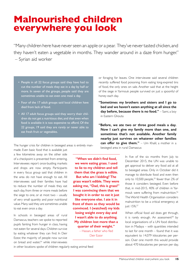## <span id="page-14-0"></span>**Malnourished children everywhere you look**

"Many children here have never seen an apple or a pear. They've never tasted chicken, and they haven't eaten a vegetable in months. They wander around in a daze from hunger." – Syrian aid worker

- People in all 22 focus groups said they have had to cut the number of meals they eat in a day by half or more. In seven of the groups, people said they are sometimes unable to eat even one meal a day.
- Four of the 17 adult groups said local children have died from lack of food.
- All 17 adult focus groups said they worry their children do not get a nutritious diet, and that even when food is available it is too expensive to afford. Of the 22 groups, 19 said they are rarely or never able to eat fresh fruit or vegetables.

The hunger crisis for children in besieged areas is entirely man-

made. Even basic food that is available just a few kilometres away on the other side of a checkpoint is prevented from entering. Interviewees report once-bustling markets and shops are now empty. Participants in every focus group said that children in the area do not have enough to eat. All interviewees said their families have had to reduce the number of meals they eat each day, from three or more meals before the siege to one, or at most two – usually of very small quantity and poor nutritional value. Many said they are sometimes unable to eat even once a day.

In schools in besieged areas of rural Damascus, teachers we spoke to reported pupils fainting from hunger in class, having not eaten for several days. Children survive by eating whatever they can find. In Deir Ezzor, the majority of people now survive on bread and water,<sup>54</sup> while interviewees

in other locations spoke of children regularly eating animal feed

or foraging for leaves. One interviewee said several children recently suffered food poisoning from eating long-expired tins of food, the only ones on sale. Another said that at the height of the siege in Yarmouk people survived on just a spoonful of honey each day.

**"Sometimes my brothers and sisters and I go to bed and we haven't eaten anything at all since the day before, because there is no food."** – Sami, a boy in Eastern Ghouta

**"Before, we ate two or three good meals a day. Now I can't give my family more than one, and sometimes that's not available. Another family nearby just survives on whatever other families can offer to give them."** – Um Khalil, a mother in a besieged area in rural Damascus

> In five of the six months from July to December 2015, the UN was unable to get approval to deliver any food aid at all to besieged areas. Only in October did it manage to distribute food and even then only to 10,500 people,<sup>55</sup> fewer than 2% of those it considers besieged. Even before that, in mid-2015, 40% of children in Yarmouk were suffering from malnutrition.<sup>56</sup> The World Health Organisation considers malnutrition to be a critical emergency at just 15%.<sup>57</sup>

> When official food aid does get through, it is rarely enough. An assessment $58$  by local organisations of a UN food distribution in Madaya – with quantities intended to last for one month – found that it was equivalent to 14,079 kilocalories per person. Over one month this would provide about 470 kilocalories per person per day,

**"When we didn't find food, we were eating grass. I used to lie to my children and tell them that the grass is edible. But who am I kidding? The grass wasn't edible. They were asking me, "Dad, this is grass!" I was convincing them that we bought it in order to eat it just like everyone else. I ate it in front of them so they would be convinced. I (watched) my kids losing weight every day and I wasn't able to do anything. My children lost more than a quarter of their weight."**  – Hassan, a father who fled Deir Ezzor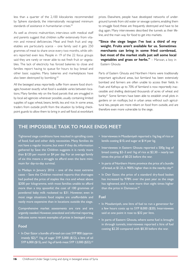less than a quarter of the 2,100 kilocalories recommended by Sphere standards, the internationally recognised minimum standards of assistance in humanitarian crises.<sup>59</sup>

As well as chronic malnutrition, interviews with medical staff and parents suggest that children suffer extensively from vitamin and mineral deficiencies. Meat and fresh fruit and vegetables are particularly scarce – one family said it gets 250 grammes of meat to share once every two months, while others reported even less. People in 19 of the 22 focus groups said they are rarely or never able to eat fresh fruit or vegetables. The lack of electricity has forced bakeries to close and families report having to queue for hours to buy bread and other basic supplies. Many bakeries and marketplaces have also been destroyed by bombing.<sup>60</sup>

All the besieged areas reportedly suffer from severe food shortages; however exactly what food is available varies between locations. Many families rely on the food parcels that are smuggled in by local aid agencies whenever possible, usually containing limited supplies of sugar, wheat, beans, lentils, tea and rice. In some areas, traders from outside profit from the situation by bribing checkpoint guards to allow them to bring in and sell food at exorbitant prices. Elsewhere, people have developed networks of underground tunnels from old water or sewage systems, enabling them to smuggle food; these are frequently destroyed and have to be dug again. Many interviewees described the tunnels as their lifeline, and the main way for food to get into markets.

**"Since the siege began I've lost a third of my weight. Fruits aren't available for us. Sometimes merchants can bring in some fried cornbread, but most of the market stalls just sell some local vegetables and grass or herbs."** – Marwan, a boy in Eastern Ghouta

Parts of Eastern Ghouta and Northern Homs were traditionally important agricultural areas, but farmland has been extensively bombed and farmers are often unable to access their fields. In Foah and Kefraya up to 70% of farmland is now reportedly inaccessible and shelling destroyed thousands of acres of wheat and barley.61 Some farmers have been able to establish small plots in gardens or on rooftops, but in urban areas without such agricultural ties, people are more reliant on food from outside, and are therefore even more vulnerable to the siege.

#### **THE IMPOSSIBLE TASK TO MAKE ENDS MEET**

Tightened siege conditions have resulted in spiralling costs of food, fuel and other daily necessities. Many families do not have a regular income, but even if they do, information gathered by Save the Children suggests it is rarely more than \$120 per month or \$4 per day. For an average family of six this means a struggle to afford even the bare minimum for day-to-day survival.

In Madaya in January 2016 – one of the most extreme cases – Save the Children received reports that shortages had pushed the price of staples like rice and wheat above \$200 per kilogramme, with most families unable to afford more than a tiny spoonful; the cost of 100 grammes of powdered baby milk rocketed to \$31. However, even in most siege situations food staples are unaffordable and vastly more expensive than in locations outside the siege.

Comprehensive market assessments are rare and are urgently needed. However, anecdotal and informal reporting indicates some recent examples of prices in besieged areas:

#### **Food**

• In Deir Ezzor a bundle of bread can cost SYP 800 (approximately  $$2$ ),<sup>62</sup> 1kg of sugar SYP 5,000 ( $$12$ ), a litre of oil SYP 6,000 (\$15), and 1kg of lamb meat SYP 13,000 (\$32).<sup>63</sup>

- Interviewees in Moadamiyeh reported a 1kg bag of rice or lentils costing \$10, and sugar at \$14 per kg.
- Interviewees in Eastern Ghouta reported a 500g bag of bread costing \$2–3 and 1kg of rice at \$2.30 – nearly ten times the price of \$0.25 before the war.
- In parts of Northern Homs province the price of a bundle of bread, at \$1.25, is 900% higher than in the nearby city.<sup>64</sup>
- In Deir Ezzor, the price of a standard dry-food basket has increased by 978% over the past year as the siege has tightened, and is now more than eight times higher than the price in Damascus.<sup>65</sup>

#### **Fuel**

- In Moadamiyeh, one litre of fuel to run a generator for a few hours costs up to SYP 8,000 (\$20). Interviewees said at one point it rose to \$32 per litre.
- In parts of Eastern Ghouta, where some fuel is brought in through tunnels, interviewees reported a litre of fuel costing \$2.20 compared with \$0.30 before the war.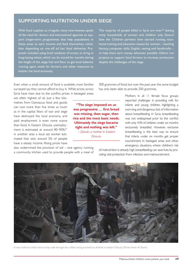#### **SUPPORTING NUTRITION UNDER SIEGE**

With food supplies so irregular, many interviewees spoke of the need for donors and international agencies to support longer-term programmes that help populations in these areas to earn income and feed themselves, rather than depending on one-off ad hoc food deliveries. Proposals included using brief windows of access to bring in long-lasting wheat, which can be stored for months during the height of the siege; fuel and flour to get local bakeries running again; seeds for farmers; and other measures to bolster the local economy.

The majority of people killed in Syria are men,<sup>66</sup> leaving many households of women and children only. Several Save the Children partners have started running vocational training and education classes for women – teaching literacy, computer skills, English, sewing and handicrafts – to help them earn money wherever possible. Others run projects to support local farmers to increase production despite the challenges of the siege.

Even when a small amount of food is available, most families surveyed say they cannot afford to buy it. While prices across Syria have risen due to the conflict, prices in besieged areas

300 grammes of food, but over the past year the same budget has only been able to provide 200 grammes.

are often highest of all. Just a few kilometres from Damascus, food and goods can cost more than five times as much as in the capital. Years of war and siege have destroyed the local economy and paid employment is even more scarce than food. In Eastern Ghouta, unemployment is estimated at around 80-90%;<sup>67</sup> in another area a local aid worker estimated that only around 5% of people have a steady income. Rising prices have

also undermined the provision of  $aid - one$  agency running a community kitchen used to provide people with a meal of

**"The siege imposed on us was progressive … first bread was missing, then sugar, then rice and the most basic needs. Ultimately the siege became tight and nothing was left."** – Zeinah, a mother in Eastern Ghouta

Mothers in all 11 female focus groups reported challenges in providing milk for infants and young children, highlighting a worrying and dangerous lack of information about breastfeeding. In Syria, breastfeeding was not widespread prior to the conflict with only 43% of children under six months exclusively breastfed. However, exclusive breastfeeding is the best way to ensure that infants under six months get proper nourishment. In besieged areas and other emergency situations, where children's risk

of malnutrition is already high, breastfeeding can save lives by providing vital protection from infection and malnourishment.



A man holds his child's hand as they walk through the rubble, having survived an airstrike in eastern Ghouta. (Photo: Amer Al Shami)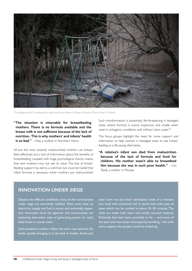

The playground of a kindergarten destroyed by airstrikes in Eastern Ghouta. (Photo: Amer Al Shami)

**"The situation is miserable for breastfeeding mothers. There is no formula available and the breast milk is not sufficient because of the lack of nutrition. This is why mothers' and infants' health is so bad."** – Hala, a mother in Northern Homs

All but the most severely malnourished mothers can breastfeed effectively but a lack of information about the benefits of breastfeeding, coupled with huge psychological shocks, means that new mothers may not see its value. The lack of breastfeeding support has led to a common but incorrect belief that infant formula is necessary when mothers are malnourished. Such misinformation is potentially life-threatening in besieged areas, where formula is scarce, expensive and unsafe when used in unhygienic conditions and without clean water.<sup>68</sup>

The focus groups highlight the need for more support and information to help women in besieged areas to see breastfeeding as a life-saving alternative.

**"A relative's infant son died from malnutrition because of the lack of formula and food for children. His mother wasn't able to breastfeed him because she was in such poor health."** – Um Tarek, a mother in Misraba

#### **INNOVATION UNDER SIEGE**

Despite the difficult conditions, many of the communities under siege are extremely resilient. Most areas have no electricity supply and fuel is scarce and extremely expensive. Innovative local aid agencies and communities are exploring alternative ways of generating power to cook, bake bread or pump water.

Solar-powered cookers reflect the sun's rays towards the kettle, quickly bringing it to the boil. A smaller family-size solar oven has also been developed, made of a wooden box lined with aluminium foil. It works best with pots of stew, which can be cooked in about 45–50 minutes. The units are made with basic and locally sourced material. Relatively few have been provided so far – and some of the test units have been destroyed by bombing – but with more support the project could be scaled up.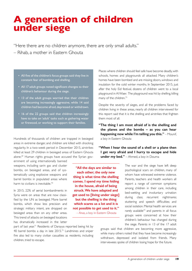## <span id="page-18-0"></span>**A generation of children under siege**

"Here there are no children anymore, there are only small adults."

- Rihab, a mother in Eastern Ghouta
	- All five of the children's focus groups said they live in constant fear of bombing and shelling.
	- All 17 adult groups noted significant changes to their children's behaviour during the siege.
	- 13 of the adult groups worried that their children are becoming increasingly aggressive, while 14 said children had become afraid, depressed or withdrawn.
	- 16 of the 22 groups said that children increasingly have to take on 'adult' tasks such as gathering water or firewood, or working to support their families.

Hundreds of thousands of children are trapped in besieged areas in extreme danger, and children are killed with shocking regularity. In a two-week period in December 2015, airstrikes killed at least 29 children in besieged areas of Eastern Ghouta alone.<sup>69</sup> Human rights groups have accused the Syrian gov-

ernment of using internationally banned weapons, including sarin gas and cluster bombs, on besieged areas, and of systematically using explosive weapons and barrel bombs in populated areas where harm to civilians is inevitable.<sup>70</sup>

In 2015, 22% of aerial bombardments in Syria were on areas that are now classified by the UN as besieged. More barrel bombs, which show less precision and strategic military intent, are dropped on besieged areas than on any other areas. This trend of attacks on besieged locations has dramatically increased in the latter

part of last year.<sup>71</sup> Residents of Darayya reported being hit by 40 barrel bombs a day in late 2015.72 Landmines and sniper fire also led to many civilian casualties as residents, including children, tried to escape.

Places where children should feel safe have become deadly, with schools, homes and playgrounds all attacked. Many children's homes have been bombed and are missing doors, windows and insulation for the cold winter months. In September 2015, just after the holy Eid festival, dozens of children went to a local playground in Al Waer. The playground was hit by shelling, killing many of the children.<sup>73</sup>

Despite the severity of sieges, and all the problems faced by children living in these areas, nearly all children interviewed for this report said that it is the shelling and airstrikes that frighten them most of all.

- **"The thing I am most afraid of is the shelling and the planes and the bombs – as you can hear happening now while I'm telling you this."** – Mounif, a boy in Eastern Ghouta
- **"When I hear the sound of a shell or a plane then I get very afraid and I hurry to escape and hide under my bed."** – Ahmed, a boy in Douma

The war and the siege have left deep psychological scars on children, many of whom have witnessed extreme violence. Parents, teachers and health workers all report a range of common symptoms among children in their care, including bed-wetting and involuntary urination during class; recurrent nightmares; stuttering and speech difficulties; and social isolation. Mental health services are rarely available<sup>74</sup> and parents in all focus groups were concerned at how their children's behaviour has changed during the siege. Parents in 13 of the 17 adult

groups said that children are becoming more aggressive, while many others noted that they have become increasingly withdrawn, depressed and isolated from friends. Many interviewees spoke of children losing hope for the future.

**"All the days are similar to each other; the only new thing is what time the shelling comes. I spend my time hiding in the house, afraid of being struck. We have adapted and get used to [living under siege] but the shelling is the thing which scares us a lot and it is not possible to get used to it."**

– Anas, a boy in Eastern Ghouta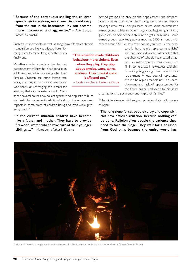**"Because of the continuous shelling the children spend their time alone, away from friends and away from the sun in the basements. My son became more introverted and aggressive."** – Abu Ziad, a father in Zamalka

Such traumatic events, as well as long-term effects of chronic

malnutrition, are likely to affect children for many years to come, long after the sieges finally end.

Whether due to poverty or the death of parents, many children have had to take on adult responsibilities in looking after their families. Children are often forced into work, labouring on farms or in mechanics' workshops, or scavenging the streets for anything that can be eaten or sold. Many

spend several hours a day collecting firewood or plastic to burn for heat. This comes with additional risks, as there have been reports in some areas of children being abducted while gathering wood.75

**"In the current situation children have become like a father and mother. They have to provide firewood, water, wheat, take care of their younger siblings …"** – Mamdouh, a father in Douma

Armed groups also prey on the hopelessness and desperation of children and recruit them to fight on the front lines or scavenge resources. Peer pressure drives some children into armed groups, while for other hungry youths, joining a military group can be one of the only ways to get a daily meal. Some armed groups reportedly pay as much as \$150 a month, with others around \$50 or less. "As soon as you turn 12 the pres-

> sure is there to pick up a gun and fight," said one local aid worker, who noted that the absence of schools has created a vacuum for military and extremist groups to fill. In some areas interviewees said children as young as eight are targeted for recruitment. A local council representative in a besieged area told us: "The unemployment and lack of opportunities for the future has caused youth to join lihadi

organizations to get money and help their families."

Other interviewees said religion provides their only source of hope:

**"The long siege forces people to try and cope with this new difficult situation, because nothing can be done. Religion gives people the patience they need to face the siege. They wait for a solution from God only, because the entire world has** 



**"The situation made children's behaviour more violent. Even when they play, they play about armies, wars, tanks, soldiers. Their mental state is affected too."**  – Farah, a mother in Eastern Ghouta

Children sit around an empty can in which they have lit a fire to keep warm in a city in eastern Ghouta. (Photo: Amer Al Shami)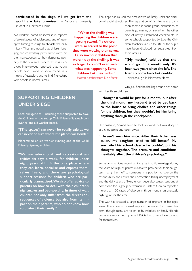**participated in the siege. All we get from the world are fake promises."** – Sandra, a university

The siege has caused the breakdown of family units and traditional social structures. The separation of families was a com-

student in Northern Homs

Aid workers noted an increase in reports of sexual abuse of adolescents, and of teenagers turning to drugs to alleviate the daily misery. They also noted that children begging and committing petty crime were on the rise: responses to their desperate poverty. In the few areas where there is electricity, interviewees reported that young people have turned to social media as a means of escapism, and to find friendships with people in 'normal' areas.

**"When the shelling was happening the children were getting scared. My children were so scared to the point they were wetting themselves. I also saw four children that were hit by the shelling. It was so tragic. I couldn't even watch what was happening. Some children lost their limbs."**

– Hassan, a father from Deir Ezzor

mon theme in focus group discussions, as parents go missing or are left on the other side of newly established checkpoints. In some schools supported by Save the Children, teachers said up to 60% of the pupils have been displaced or separated from their families.

**"(My mother) told us that she would go for a month only. It's been two years since she left. She tried to come back but couldn't."**  – Mariam, a girl in Northern Homs

Um Jalal fled the shelling around her home

with her three children:

#### **SUPPORTING CHILDREN UNDER SIEGE**

Local aid agencies – including those supported by Save the Children – have set up Child Friendly Spaces. However, as one aid worker noted,

**"[The spaces] can never be totally safe as we can never be sure where the planes will bomb."**

Mohammed, an aid worker running one of the Child Friendly Spaces, explains:

**"We run educational and recreational activities six days a week, for children under eight years old. It's the only place where they can learn, socialise and express themselves freely, and there are psychological support sessions for children who are particularly traumatised. We also offer advice to parents on how to deal with their children's nightmares and bed-wetting. In times of war, children not only suffer from the direct consequences of violence but also from its impact on their parents, who do not know how to protect their family."**

**"I thought it would be just for a month, but after the third month my husband tried to get back to the house to bring clothes and other things for the children, but they wouldn't let him bring anything through the checkpoint."** 

Her husband, Ahmed, tried to look for work but was stopped at a checkpoint and taken away:

**"I haven't seen him since. After their father was taken, my daughter tried to kill herself. My son failed his school class – he couldn't put his thoughts together. The pressure and conditions inevitably affect the children's psychology."**

Some communities report an increase in child marriage during the years of siege, as parents unable to provide for their daughters marry them off to someone in a position to take on the responsibility and ensure their protection. Rising unemployment and the daily stress of living under siege also causes tensions at home: one focus group of women in Eastern Ghouta reported more than 150 cases of divorce in three months, an unusually high figure for the area.

The war has created a large number of orphans in besieged areas. There are no formal support networks for these children, though many are taken in by relatives or family friends. Some are supported by local NGOs, but others have to fend for themselves.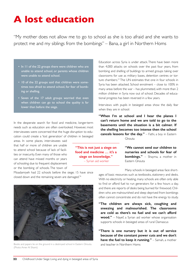# <span id="page-21-0"></span>**A lost education**

"My mother does not allow me to go to school as she is too afraid and she wants to protect me and my siblings from the bombings" – Bana, a girl in Northern Homs

> **"This is not just a siege on food and medicine … it's a siege on knowledge."** – Syrian aid worker

- In 11 of the 22 groups there were children who are unable to attend school, or parents whose children were unable to attend school.
- 10 of the 22 groups said that children were sometimes too afraid to attend school, for fear of bombing or shelling.
- Seven of the 17 adult groups worried that even when children can go to school the quality is far lower than before the siege.

In the desperate search for food and medicine, longer-term needs such as education are often overlooked. However, most interviewees were concerned that the huge disruption to education could create a 'lost generation' of children in besieged

areas. In some places, interviewees said that half or more of children are unable to attend school because of lack of facilities or insecurity. Even many of those who can attend have missed months or years of schooling due to frequent displacement or the bombing of schools. The town of

Moadamiyeh had 22 schools before the siege; 15 have since closed down and the remaining seven are damaged.<sup>76</sup>



Books and papers lie on the ground in a destroyed school in Eastern Ghouta. (Photo: Amer Al Shami)

Education across Syria is under attack. There have been more than 4,000 attacks on schools over the past four years, from bombing and shelling of buildings to armed groups taking over classrooms for use as military bases, detention centres or torture chambers.<sup>77</sup> The UN estimates that one in four schools in Syria has been attacked. School enrolment – close to 100% in many areas before the war – has plummeted, with more than 2 million children in Syria now out of school. Decades of educational progress has been reversed in a few years.

Interviews with pupils in besieged areas show the daily fear when they are in school:

**"When I'm at school and I hear the planes I can't return home and we are told to go to the basements until the situation is a bit calmer. If the shelling becomes too intense then the school cancels lessons for the day."** – Fathi, a boy in Eastern

Ghouta

**"We cannot send our children to nurseries and schools for fear of bombings."** – Shayma, a mother in Eastern Ghouta

Many schools in besieged areas face short-

ages of basic resources such as textbooks, stationery and desks. With no electricity or heating, many schools are often only able to find or afford fuel to run generators for a few hours a day, and there are reports of desks being burned for firewood. Children who are malnourished and sleep deprived from bombings often cannot concentrate and do not have the energy to study.

- **"The children are always sick, coughing and sneezing and malnourished. The classrooms are cold as there's no fuel and we can't afford wood."** – Nayef, a Syrian aid worker whose organisation supports schools in besieged areas of rural Damascus
- **"There is one nursery but it is out of service because of the constant power cuts and we don't have the fuel to keep it running."** – Samah, a mother and teacher in Northern Homs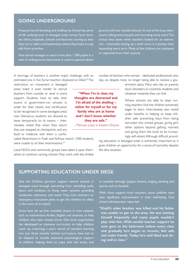#### **GOING UNDERGROUND**

Frequent barrel bombing and shelling has forced key parts of life underground. In besieged areas across Syria there are clinics, hospitals, schools and factories running as best they can in cellars and basements, where they hope to stay safe from airstrikes.

One school manages to teach more than 1,300 pupils in a web of underground classrooms. It used to operate above ground until two missiles directly hit one of the busy classrooms, killing several pupils and wounding many more. The school shut down while teachers looked for an alternative – eventually setting up a small room in a bunker, then expanding every term. Many of the children are orphaned or separated from their parents.

A shortage of teachers is another major challenge, with an estimated one in five Syrian teachers displaced or killed.78 The

restrictions on movement in besieged areas make it even harder to recruit teachers from outside or send in extra support. Students have to take their exams in government-run schools in order for their results and certification to be recognised. In some besieged areas near Damascus, students are allowed to leave temporarily to sit exams – interviewees noted that when they return they are stopped at checkpoints and any food or medicine with them is confis-

cated. Restrictions in Foah and Kefraya meant 1,900 students were unable to sit their examinations.<sup>79</sup>

Local NGOs and community groups have taken it upon themselves to continue running schools. They work with the limited number of teachers who remain – dedicated professionals who stay on, despite many no longer being able to receive a gov-

**"When I'm in class my thoughts are distracted and I'm afraid of the shelling – either for myself or for my family who are at home and I don't know whether they are safe."**  – Marwan, a boy in Eastern Ghouta ernment salary. Many also rely on parents, local volunteers or university students, and whatever materials they can find.

Where schools are able to keep running, teachers find the children extremely eager to learn. Interviewees also noted wider benefits in helping to keep children safe: preventing boys from being recruited into armed groups; giving girls other options beyond getting married; and giving them the tools to be increasingly self-reliant. Although difficult, provid-

ing education in besieged areas is extremely important as it gives children an opportunity for a sense of normality despite the dire situation.

#### **SUPPORTING EDUCATION UNDER SIEGE**

Save the Children partners support several schools in besieged areas through everything from rebuilding walls, doors and windows, to fixing water systems, providing textbooks, stationery and meals. They train teachers on emergency evacuation plans to get the children to safety in the event of an attack.

Some have set up free remedial classes in core subjects such as mathematics, Arabic, English and sciences, to help children who have missed terms. One local organisation has developed an intensive curriculum to help children catch up, cramming a year's worth of standard learning into just three months. School curriculums have had to be adapted to include extensive psychological support to children, helping them to cope with the stress, and

to socialise through puppet theatre, singing, painting and sports such as football.

With close support from teachers, some children have seen significant improvement in their well-being. One school administrator reported:

**"Khalil's older brother was killed and his father was unable to get to the area. He was wetting himself frequently and many pupils wouldn't play with him. With careful teacher support he now goes to the bathroom before every class and gradually he's begun to recover, feel safe and make friends. Today he's well liked and doing well in class."**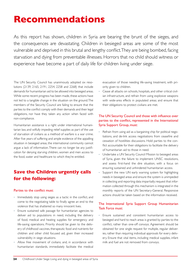# <span id="page-23-0"></span>**Recommendations**

As this report has shown, children in Syria are bearing the brunt of the sieges, and the consequences are devastating. Children in besieged areas are some of the most vulnerable and deprived in this brutal and lengthy conflict. They are being bombed, facing starvation and dying from preventable illnesses. Horrors that no child should witness or experience have become a part of daily life for children living under siege.

The UN Security Council has unanimously adopted six resolutions (2139, 2165, 2191, 2254, 2258 and 2268) that include demands for humanitarian aid to be allowed into besieged areas. While some recent progress has been made, these actions have not led to a tangible change in the situation on the ground. The members of the Security Council are failing to ensure that the parties to the conflict comply with their demands and their legal obligations, nor have they taken any action when faced with non-compliance.

Humanitarian assistance is a right under international humanitarian law, and wilfully impeding relief supplies as part of the use of starvation of civilians as a method of warfare is a war crime. After five years of suffering and ample evidence of the appalling situation in besieged areas, the international community cannot argue a lack of information. There can no longer be any justification for denying starving children, women and men access to the food, water and healthcare to which they're entitled.

#### **Save the Children urgently calls for the following:**

#### Parties to the conflict must:

- Immediately stop using sieges as a tactic in the conflict, and come to the negotiating table to finally agree an end to the violence that has shattered so many innocent lives.
- Ensure sustained safe passage for humanitarian agencies to deliver aid to populations in need, including the delivery of food, medical and heating supplies for emergency and life-saving operations. Priority should be given to the delivery of childhood vaccines, therapeutic food and nutrients for children and other child focused aid, given their increased vulnerability in siege situations.
- Allow free movement of civilians; and, in accordance with humanitarian standards, immediately facilitate the medical

evacuation of those needing life-saving treatment, with priority given to children.

• Cease all attacks on schools, hospitals, and other critical civilian infrastructure, and refrain from using explosive weapons with wide-area effects in populated areas; and ensure that their obligations to protect civilians are met.

#### The UN Security Council and those with influence over parties to the conflict, represented in the International Syria Support Group, must:

- Refrain from using aid as a bargaining chip for political negotiations, and de-link access negotiations from ceasefire and cessation of hostilities discussions. Hold parties to the conflict accountable for their obligations to facilitate the delivery of humanitarian aid to those in need.
- Undertake a UN Security Council Mission to besieged areas of Syria, given the failure to implement UNSC resolutions, and assess first-hand the dire situation, with a focus on ensuring sustained and unhindered humanitarian access.
- Support the new UN early warning system for highlighting needs in besieged areas and ensure the system is unimpeded in collecting and reporting data impartially; request that information collected through this mechanism is integrated in the monthly reports of the UN Secretary-General. Responsive actions should be taken based on the information received.

#### The International Syria Support Group Humanitarian Task Force must:

• Ensure sustained and consistent humanitarian access to besieged and hard to reach areas is granted by parties to the conflict, rather than one-off convoys. Agreement should be obtained for one single request for multiple, regular deliveries, rather than requiring individual approvals for every delivery. Ensure that vital items, including medical supplies, infant milk and fuel are not removed from convoys.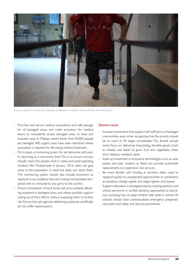

A Syrian child in the centre for amputee rehabilitation in Eastern Ghouta. (Photo: Amer Al Shami)

- Prioritise and secure medical evacuations and safe passage for all besieged areas, and make provisions for medical teams to consistently access besieged areas to treat and evaluate cases. In Madaya, where fewer than 40,000 people are besieged, 400 urgent cases have been identified where evacuation is required for life-saving medical treatment.
- Put in place a monitoring system for aid deliveries, with public reporting at a community level. This is to ensure convoys actually reach the people most in need, and avoid repeating incidents like Moadamiyeh in January 2016, when aid gets close to the population in need but does not reach them. This monitoring system should also include provisions to respond to any evidence that aid is being monopolized, tampered with or removed by any party to the conflict.
- Ensure consultation of local Syrian aid actors already delivering assistance in besieged areas, and where possible, support scaling up of their efforts without exposing them to further risk. Ensure that aid agencies delivering assistance unofficially do not suffer repercussions.

#### Donors must:

- Increase investments that support self-sufficiency of besieged communities, even while recognizing that the priority should be to work to lift sieges immediately. This should include more focus on delivering long-lasting, storable goods (such as wheat), and seeds to grow fruit and vegetables, when short delivery windows open.
- Scale up investment in innovative technologies, such as solar panels and solar cookers, as these can provide sustainable replacements to inoperative vital services.
- Be more flexible with funding, as partners often need to respond quickly to unexpected opportunities or constraints, as situations change rapidly and sieges tighten and loosen.
- Support education in besieged areas by training teachers and school personnel in conflict-sensitive approaches to education, including how to keep children safe while in school. All schools should have contextualised emergency preparedness plans and safety and security procedures.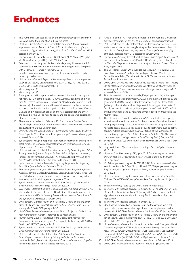# <span id="page-25-0"></span>**Endnotes**

- 1 This number is calculated based on the overall percentage of children in Syria applied to the population in besieged areas
- 2 UN News Centre, Secretary-General Ban Ki-moon, 'Opening remarks at press encounter', New York, 9 April 2015, http://www.un.org/apps/ news/infocus/sgspeeches/statments\_full.asp?statID=2562#.VsC1ubJ96M8 accessed January 2016
- 3 For example: UN Security Council Resolutions 2139, 2165, 2191 (all in 2014), 2254, 2258 (in 2015) and 2268 (in 2016)
- 4 Estimates of how many people live under siege vary. However, the UN estimates that 486,700 people now live in 18 besieged areas, compared with 212,000 in 11 areas in February 2015.
- 5 Based on information obtained by credible humanitarian third party reporting mechanisms
- 6 UN Secretary-General, *Report of the Secretary-General on the Implementation of UN Security Council Resolutions 2139, 2165, 2191 and 2258*, 21 January 2016, S/2016/60, paragraph 48
- 7 Idem, paragraph 49
- 8 Idem, paragraph 63
- 9 Focus groups and in-depth interviews were carried out in January and February 2016 in eight locations: Douma, Zamalka, Beit Sawa and Mesraba (all Eastern Ghouta/rural Damascus); Moadamiyeh (southern rural Damascus); Houla-Kafr Laha and Houla-Taldo (rural northern Homs), and an anonymous location under siege in northern rural Damascus. Douma, Zamalka and Moadamiyeh are all on the UN besieged list; the others are classed by the UN as 'hard to reach' and are considered besieged by other assessments.
- 10 These were carried out in February 2016 and include families from Deir Ezzur, Eastern Ghouta and Northern Homs. These interviews were conducted by Save the Children staff.
- 11 UN Office for the Coordination of Humanitarian Affairs (OCHA), Syrian Arab Republic Crisis Overview: Key Figures, [http://www.unocha.org/syria,](http://www.unocha.org/syria) accessed February 2016
- 12 Syria Regional Refugee Response Inter-Agency Information Sharing Portal, Total Persons of Concern, [http://data.unhcr.org/syrianrefugees/regional.](http://data.unhcr.org/syrianrefugees/regional.php) [php](http://data.unhcr.org/syrianrefugees/regional.php), accessed 17 February 2016
- 13 UN, Department of Public Information*, Alarmed by Continuing Syria Crisis, Security Council Affirms its Support for Special Envoy's Approach in Moving Political Solution Forward*, SC/12008, 17 August 2015, [http://www.un.org/](http://www.un.org/press/en/2015/sc12008.doc.htm) [press/en/2015/sc12008.doc.htm](http://www.un.org/press/en/2015/sc12008.doc.htm) accessed February 2016
- 14 Syrian Centre for Policy Research, *Confronting Fragmentation: Impact of Syria Crisis Quarterly Report*, February 2016, p. 61
- 15 The Syrian government, the USA, the Russian Federation, the UK, France, Australia, Bahrain, Canada, Israel, Jordan, Lebanon, Saudi Arabia, Turkey and the United Arab Emirates have all reportedly carried out military action.
- 16 Interviews with local aid agencies in January 2016 17 Syrian American Medical Society (SAMS) *Slow Death: Life and Death in Syrian Communities Under Siege*, March 2015, p. 29
- 18 OCHA, *Joint Statement on hard-to-reach and besieged communities in Syria*, attributable to Yacoub El Hillo, UN Resident and Humanitarian Coordinator in Syria and Kevin Kennedy, Regional Humanitarian Coordinator for the Syria Crisis, Damascus, 7 January 2016
- 19 UN Secretary-General. *Report of the Secretary-General on the Implementation of UN Security Council Resolutions 2139, 2165, 2191 and 2258*, 21 January 2016, S/2016/60, paragraph 52
- 20 UN OCHA, *Flash Update on Madamiyet Alsham*, 31 January 2016. In this report Madamiyet Alsham is referred to as Moadamiyeh
- 21 Human Rights Council, *7th Report of the Independent International Commission of Inquiry on the Syrian Arab Republic*, 12 February 2014, XXV Session, A/HR/25/65, paragraph 13
- 22 Syrian American Medical Society (SAMS) *Slow Death: Life and Death in Syrian Communities Under Siege*, March 2015, p. 28
- 23 UN, Department of Public Information, *Full transcript of Secretary-General's press encounter following briefing to the General Assembly on his priorities for 2016*, New York, 14 January 2016, [http://www.un.org/sg/offt](http://www.un.org/sg/offthecuff/index.asp?nid=4316)[hecuff/index.asp?nid=4316](http://www.un.org/sg/offthecuff/index.asp?nid=4316) accessed February 2016
- 24 Article 14 of the 1977 Additional Protocol II of the Geneva Convention provides: "Starvation of civilians as a method of combat is prohibited".
- 25 UN, Department of Public Information, Full transcript of Secretary-General's press encounter following briefing to the General Assembly on his priorities for 2016, New York, 14 January 2016, [http://www.un.org/sg/](http://www.un.org/sg/offthecuff/index.asp?nid=4316) [offthecuff/index.asp?nid=4316](http://www.un.org/sg/offthecuff/index.asp?nid=4316) accessed February 2016
- 26 For example, Amnesty International, *Yarmouk Under Siege: A horror story of war crimes, starvation and death*, March 2014; Amnesty International, *Left to Die Under Siege: War crimes and human rights abuses in Eastern Ghouta, Syria,* August 2015
- 27 The UN list for January 2016 includes the following 19 locations: Deir Ezzor, Foah, Kefraya, Zabadani, Madaya, Bqine, Darayya, Moadamiyeh, Duma, Harasta, Arbin, Zamalka, Kafr Batna, Ein Terma, Hammura, Jisrein, Saqba, Zabadin and Yarmouk.
- 28 UN OCHA, *Overview of hard-to-reach and besieged locations (as of January 2016)*, [https://www.humanitarianresponse.info/en/operations/whole-of](https://www.humanitarianresponse.info/en/operations/whole-of-syria/infographic/overview-hard-reach-and-besieged-locations-ja-n-2016)[syria/infographic/overview-hard-reach-and-besieged-locations-ja-n-2016](https://www.humanitarianresponse.info/en/operations/whole-of-syria/infographic/overview-hard-reach-and-besieged-locations-ja-n-2016) accessed February 2016
- 29 The UN currently estimates that 486,700 people are living in besieged areas. This includes approximately 270,000 living in areas besieged by the government, 200,000 living in Deir Ezzor under siege by Islamic State (although other studies such as Siege Watch have argued that parts of Deir Ezzor are also under siege by the government) and 12,500 in Foah and Kefraya under siege by non-state armed opposition groups and the Nusrah Front.
- 30 The UN defines a 'hard to reach area' as: "An area that is not regularly accessible to humanitarian actors for the purposes of sustained humanitarian programming as a result of denial of access, including the need to negotiate access on an ad hoc basis, or due to restrictions such as active conflict, multiple security checkpoints, or failure of the authorities to provide timely approval," in UN OCHA, *Syrian Arab Republic: Overview of hard-to-reach and besieged locations (as of January 2016). See note 28.*
- 31 SAMS, *Slow Death: Life and death in Syrian communities under siege*,' March 2015, p. 5
- 32 Siege Watch, *First Quarterly Report on Besieged Areas in Syria*, February 2016, p. 8
- 33 Médecins Sans Frontières (MSF), *Syria 2015: Documenting war wounded and war dead in MSF supported medical facilities in Syria,* 17 February 2016, pp 3 and 6
- 34 95,000 people according to UN OCHA *2015 Humanitarian Needs Overview for the Syrian Arab Republic*, p. 142; and 200,000 people according to Siege Watch, *First Quarterly Report on Besieged Areas in Syria*, February 2016, p. 22.
- 35 Statement signed by eight international aid agencies including Save the Children, 'One-Off Aid Convoys Won't Save Starving Syrians', 11 January 2016
- 36 Both are currently listed by the UN as 'hard to reach areas'.
- 37 Interviews with local aid agencies in January 2016. The UN OCHA Flash Update for Madamiyet Alsham, 31 January 2016, also reported at least eight deaths in the town since 1 January 2016 due to lack of proper medical care.
- 38 Interviews with local aid agencies in January 2016
- 39 One hospital remains two kilometres outside the city and, while still open, it also suffers from a shortage of medicine, supplies and health personnel. UN OCHA, *Flash Update on Deir Ezzor City*, 15 January 2016.
- 40 UN Secretary-General, *Report of the Secretary-General on the implementation of Security Council Resolutions 2139, 2165, 2191 and 2258*, 20 August 2015, S/2015/651, paragraph 44
- 41 Under-Secretary-General for Humanitarian Affairs and Emergency Relief Coordinator, Stephen O'Brien, *Statement to the Security Council on Syria,* New York, 27 January 2016, [http://reliefweb.int/sites/reliefweb.int/files/](http://reliefweb.int/sites/reliefweb.int/files/resources/ERC%20Stephen%20O%27Brien%20SecCo%20statement%20on%20Syria%2027Jan%202016%20CAD.pdf) [resources/ERC%20Stephen%20O%27Brien%20SecCo%20statement%20](http://reliefweb.int/sites/reliefweb.int/files/resources/ERC%20Stephen%20O%27Brien%20SecCo%20statement%20on%20Syria%2027Jan%202016%20CAD.pdf) [on%20Syria%2027Jan%202016%20CAD.pdf](http://reliefweb.int/sites/reliefweb.int/files/resources/ERC%20Stephen%20O%27Brien%20SecCo%20statement%20on%20Syria%2027Jan%202016%20CAD.pdf) accessed February 2016
- 42 UN OCHA, *Flash Update on Northern rural Homs*, 14 February 2016
- 43 UN OCHA, *Flash Update on Madamiyet Alsham*, 31 January 2016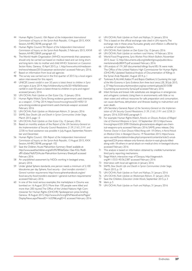- 44 Human Rights Council, *10th Report of the Independent International Commission of Inquiry on the Syrian Arab Republic*, 13 August 2015, XXX Session, A/HRC/30/48, paragraph 101
- 45 Human Rights Council, *9th Report of the Independent International Commission of Inquiry on the Syrian Arab Republic*, 5 February 2015, XXVII Session, A/HRC/28/69, paragraph 62
- 46 The World Health Organization (WHO) recommends that caesareans should only be carried out based on medical need and can bring shortand long-term risks to mother and child. WHO: *Statement on Caesarian Section Rates,* Geneva, 10 April 2015, p. 1, [http://www.who.int/mediacen](http://www.who.int/mediacentre/news/releases/2015/caesarean-sections/en/)[tre/news/releases/2015/caesarean-sections/en/](http://www.who.int/mediacentre/news/releases/2015/caesarean-sections/en/) accessed February 2016.
- 47 Based on information from local aid agencies
- 48 The survey was carried out in the first quarter of 2015 by a local organisation interviewed for this report.
- 49 UNICEF, *Lowest rainfall in over 50 years is latest threat to children in Syria and region*, 6 June 2014, [http://childrenofsyria.info/2014/06/06/lowest](http://childrenofsyria.info/2014/06/06/lowest-rainfall-in-over-50-years-is-latest-threat-to-children-in-syria-and-region/)[rainfall-in-over-50-years-is-latest-threat-to-children-in-syria-and-region/](http://childrenofsyria.info/2014/06/06/lowest-rainfall-in-over-50-years-is-latest-threat-to-children-in-syria-and-region/)  accessed January 2016
- 50 UN OCHA, *Flash Update on Deir Ezzor City*, 15 January 2016
- 51 Human Rights Watch, 'Syria: Strong evidence government used chemicals as a weapon', 13 May 2014, [https://www.hrw.org/news/2014/05/13/](https://www.hrw.org/news/2014/05/13/syria-strong-evidence-government-used-chemicals-weapon) [syria-strong-evidence-government-used-chemicals-weapon](https://www.hrw.org/news/2014/05/13/syria-strong-evidence-government-used-chemicals-weapon) accessed February 2016
- 52 UN OCHA, *Flash Update on Madamiyet Alsham*, 31 January 2016
- 53 SAMS, *Slow Death: Life and Death in Syrian Communities Under Siege*, March 2015, page 13
- 54 UN OCHA, *Flash Update on Deir Ezzor City*, 15 January 2016
- 55 Based on monthly analysis of the *Report of the UN Secretary-General on the Implementation of Security Council Resolutions 2139, 2165, 2191 and 2258*; no food assistance was possible in July, August, September, November and December.
- 56 Human Rights Council, *10th Report of the Independent International Commission of Inquiry on the Syrian Arab Republic*, 13 August 2015, XXX Session, A/HRC/30/48, paragraph 102
- 57 Save the Children, 'Acute Malnutrition Summary Sheet' available at: [http://www.savethechildren.org/atf/cf/%7B9def2ebe-10ae-432c-9bd0](http://www.savethechildren.org/atf/cf/%7B9def2ebe-10ae-432c-9bd0-df91d2eba74a%7D/Acute-Malnutrition-Summary-Sheet.pdf) [df91d2eba74a%7D/Acute-Malnutrition-Summary-Sheet.pdf](http://www.savethechildren.org/atf/cf/%7B9def2ebe-10ae-432c-9bd0-df91d2eba74a%7D/Acute-Malnutrition-Summary-Sheet.pdf) accessed February 2016
- 58 An unpublished assessment by NGOs working in besieged areas, January 2016
- 59 Under global Sphere standards, one person needs a minimum of 2,100 kilocalories per day. Sphere, *Food security – food transfers standard 1: General nutrition requirements* [http://www.spherehandbook.org/en/](http://www.spherehandbook.org/en/food-security-food-transfers-standard-1-general-nutrition-requirements/) [food-security-food-transfers-standard-1-general-nutrition-requirements/](http://www.spherehandbook.org/en/food-security-food-transfers-standard-1-general-nutrition-requirements/)  accessed February 2016
- 60 In one of the most serious examples, the marketplace in Douma was bombed on 16 August 2015. More than 100 people were killed and more than 200 injured. The Office of the United Nations High Commissioner for Human Rights (OHCHR) 'Spokesperson press briefing', Geneva, 18 August 2015, [http://www.ohchr.org/EN/NewsEvents/Pages/](http://www.ohchr.org/EN/NewsEvents/Pages/DisplayNews.aspx?NewsID=16329&LangID=E) [DisplayNews.aspx?NewsID=16329&LangID=E](http://www.ohchr.org/EN/NewsEvents/Pages/DisplayNews.aspx?NewsID=16329&LangID=E) accessed February 2016
- 61 UN OCHA, *Flash Update on Foah and Kefraya*, 31 January 2016
- 62 This is based on the official exchange rate cited in UN reports. The exchange rate in these areas fluctuates greatly and inflation is affected by a number of complex factors.
- 63 UN OCHA, *Flash Update on Deir Ezzor City*, 15 January 2016
- 64 UN OCHA, *Flash Update on northern rural* Homs, 14 February 2016
- 65 World Food Programme, *Syria Market Price Watch Bulletin*, November 2015, Issue 12, [http://documents.wfp.org/stellent/groups/public/docu](http://documents.wfp.org/stellent/groups/public/documents/ena/wfp280475.pdf)[ments/ena/wfp280475.pdf](http://documents.wfp.org/stellent/groups/public/documents/ena/wfp280475.pdf) accessed February 2016
- 66 UN analysis of 191,369 documented killings found 85.1% were male. The Office of the United Nations High Commissioner for Human Rights (OHCHR), 'Updated Statistical Analysis of Documentation of Killings in the Syrian Arab Republic', August 2014, p. 1
- 67 Turkmani, R, Ali, AAK, Kaldor, M and Bojicic-Dzelilovic, V, *Countering the Logic of the War Economy in Syria: Evidence from three local areas*, LSE, 30 July 2015, p. 37 [http://www.securityintransition.org/wp-content/uploads/2015/08/](http://www.securityintransition.org/wp-content/uploads/2015/08/Countering-war-economy-Syria2.pdf) [Countering-war-economy-Syria2.pdf](http://www.securityintransition.org/wp-content/uploads/2015/08/Countering-war-economy-Syria2.pdf) accessed February 2016
- Infant formula and breast milk substitutes are dangerous in emergencies and unhygienic contexts. Using them in environments with little or no clean water, and without resources for safe preparation and consumption, can cause diarrhoea, dehydration and illnesses leading to malnutrition and even death.
- 69 UN Secretary-General, *Report of the Secretary-General on the Implementation of UN Security Council Resolutions 2139, 2165, 2191 and 2258*, 21 January 2016, S/2016/60, paragraph 5
- 70 For example: Human Rights Watch, *Attacks on Ghouta. Analysis of Alleged Use of Chemical Weapons in Syria'*, 10 September 2013, [https://www.](https://www.hrw.org/report/2013/09/10/attacks-ghouta/analysis-alleged-use-chemical-weapons-syria) [hrw.org/report/2013/09/10/attacks-ghouta/analysis-alleged-use-chem](https://www.hrw.org/report/2013/09/10/attacks-ghouta/analysis-alleged-use-chemical-weapons-syria)[ical-weapons-syria](https://www.hrw.org/report/2013/09/10/attacks-ghouta/analysis-alleged-use-chemical-weapons-syria) accessed February 2016; SAMS, press release, *Only Forensic Doctor in East Ghouta Killed, Along with 18 Others, in Aerial Attack on Medical Clinic in Besieged Douma*, 19 November, 2015, [https://www.](https://www.sams-usa.net/foundation/index.php/component/content/article/2-uncategorised/224-press-release-only-forensic-doctor-in-east-ghouta-killed-along-with-18-others-in-aerial-attack-on-medical-clinic-in-besieged-douma) [sams-usa.net/foundation/index.php/component/content/article/2-uncat](https://www.sams-usa.net/foundation/index.php/component/content/article/2-uncategorised/224-press-release-only-forensic-doctor-in-east-ghouta-killed-along-with-18-others-in-aerial-attack-on-medical-clinic-in-besieged-douma)[egorised/224-press-release-only-forensic-doctor-in-east-ghouta-killed](https://www.sams-usa.net/foundation/index.php/component/content/article/2-uncategorised/224-press-release-only-forensic-doctor-in-east-ghouta-killed-along-with-18-others-in-aerial-attack-on-medical-clinic-in-besieged-douma)[along-with-18-others-in-aerial-attack-on-medical-clinic-in-besieged-douma](https://www.sams-usa.net/foundation/index.php/component/content/article/2-uncategorised/224-press-release-only-forensic-doctor-in-east-ghouta-killed-along-with-18-others-in-aerial-attack-on-medical-clinic-in-besieged-douma)  accessed February 2016
- 71 This analysis is based on information obtained by credible humanitarian third party reporting mechanisms.
- 72 Siege Watch, interactive map of Darayya, http://siegewatch. org/#11/33.5145/36.2387 accessed February 2016
- 73 Interviews with local aid agencies in January 2016
- 74 SAMS, *Slow Death: Life and Death in Syrian Communities Under Siege*, March 2015, p. 19
- 75 UN OCHA, *Flash Update on Foah and Kefraya*, 31 January 2016
- 76 UN OCHA, *Flash Update on Madamiyet Alsham*, 31 January 2016
- 77 Save the Children, *Education Under Attack*, September 2015, p. 3
- 78 Idem, p. 5
- 79 UN OCHA, *Flash Update on Foah and Kefraya*, 31 January 2016